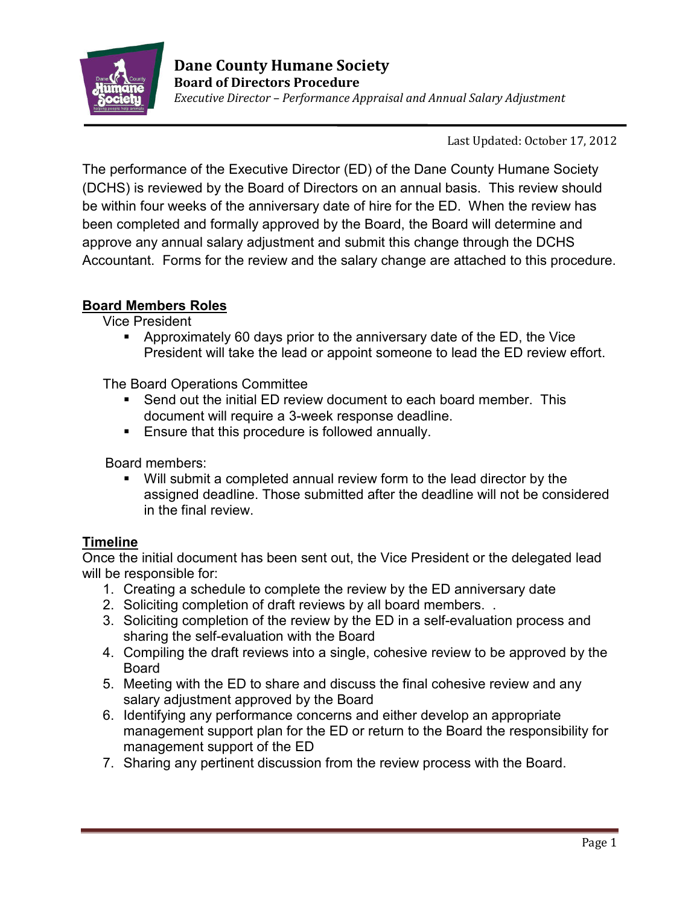

Last Updated: October 17, 2012

The performance of the Executive Director (ED) of the Dane County Humane Society (DCHS) is reviewed by the Board of Directors on an annual basis. This review should be within four weeks of the anniversary date of hire for the ED. When the review has been completed and formally approved by the Board, the Board will determine and approve any annual salary adjustment and submit this change through the DCHS Accountant. Forms for the review and the salary change are attached to this procedure.

## **Board Members Roles**

Vice President

 Approximately 60 days prior to the anniversary date of the ED, the Vice President will take the lead or appoint someone to lead the ED review effort.

The Board Operations Committee

- Send out the initial ED review document to each board member. This document will require a 3-week response deadline.
- **Ensure that this procedure is followed annually.**

Board members:

 Will submit a completed annual review form to the lead director by the assigned deadline. Those submitted after the deadline will not be considered in the final review.

## **Timeline**

Once the initial document has been sent out, the Vice President or the delegated lead will be responsible for:

- 1. Creating a schedule to complete the review by the ED anniversary date
- 2. Soliciting completion of draft reviews by all board members. .
- 3. Soliciting completion of the review by the ED in a self-evaluation process and sharing the self-evaluation with the Board
- 4. Compiling the draft reviews into a single, cohesive review to be approved by the Board
- 5. Meeting with the ED to share and discuss the final cohesive review and any salary adjustment approved by the Board
- 6. Identifying any performance concerns and either develop an appropriate management support plan for the ED or return to the Board the responsibility for management support of the ED
- 7. Sharing any pertinent discussion from the review process with the Board.